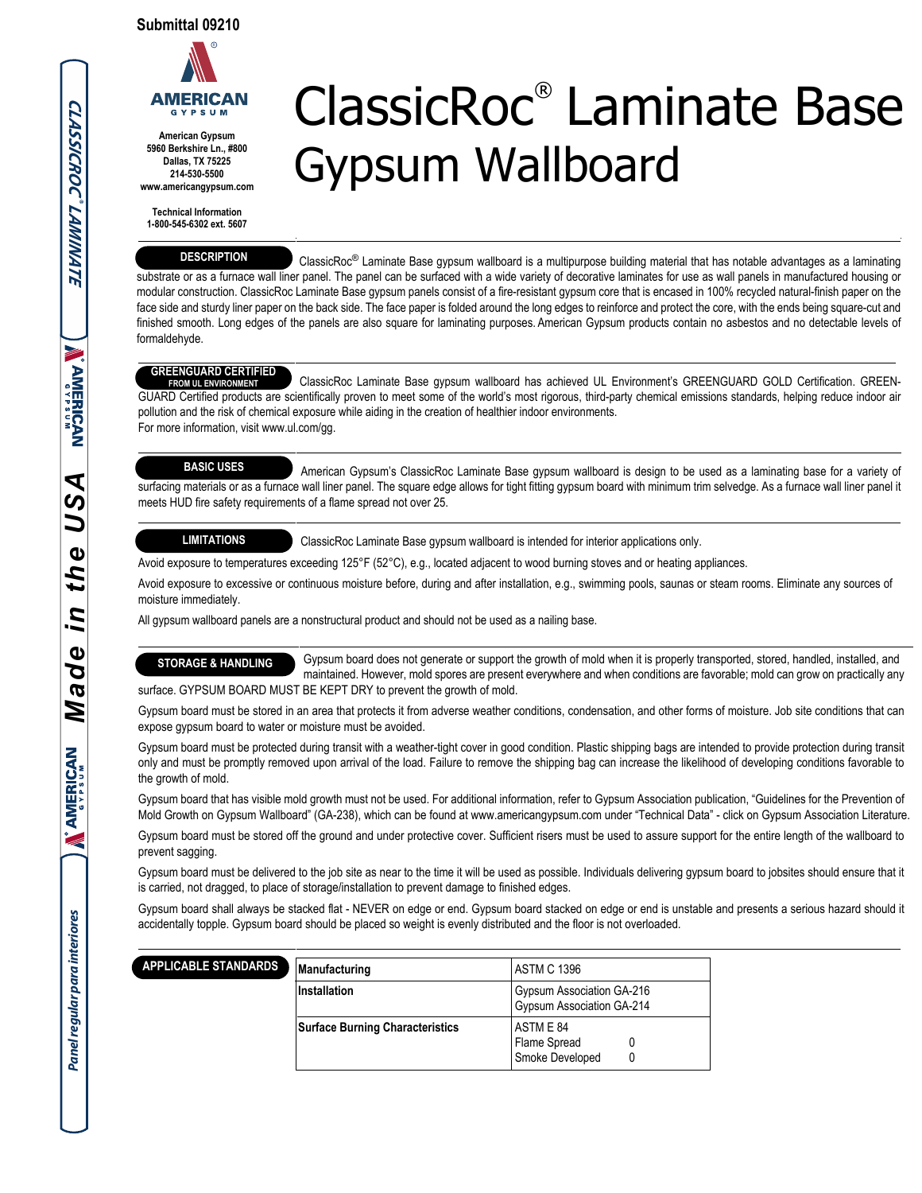

**American Gypsum 5960 Berkshire Ln., #800 Dallas, TX 75225 214-530-5500 www.americangypsum.com**

**Technical Information 1-800-545-6302 ext. 5607**

#### **DESCRIPTION**

# ClassicRoc® Laminate Base Gypsum Wallboard

 $\text{Classic}$ Roc<sup>®</sup> Laminate Base gypsum wallboard is a multipurpose building material that has notable advantages as a laminating substrate or as a furnace wall liner panel. The panel can be surfaced with a wide variety of decorative laminates for use as wall panels in manufactured housing or modular construction. ClassicRoc Laminate Base gypsum panels consist of a fire-resistant gypsum core that is encased in 100% recycled natural-finish paper on the face side and sturdy liner paper on the back side. The face paper is folded around the long edges to reinforce and protect the core, with the ends being square-cut and finished smooth. Long edges of the panels are also square for laminating purposes. American Gypsum products contain no asbestos and no detectable levels of formaldehyde.

### **GREENGUARD CERTIFIED**

 ClassicRoc Laminate Base gypsum wallboard has achieved UL Environment's GREENGUARD GOLD Certification. GREEN-GUARD Certified products are scientifically proven to meet some of the world's most rigorous, third-party chemical emissions standards, helping reduce indoor air pollution and the risk of chemical exposure while aiding in the creation of healthier indoor environments. For more information, visit www.ul.com/gg. **FROM UL ENVIRONMENT**

## **BASIC USES**

 American Gypsum's ClassicRoc Laminate Base gypsum wallboard is design to be used as a laminating base for a variety of surfacing materials or as a furnace wall liner panel. The square edge allows for tight fitting gypsum board with minimum trim selvedge. As a furnace wall liner panel it meets HUD fire safety requirements of a flame spread not over 25.

### **LIMITATIONS**

ClassicRoc Laminate Base gypsum wallboard is intended for interior applications only.

Avoid exposure to temperatures exceeding 125°F (52°C), e.g., located adjacent to wood burning stoves and or heating appliances.

Avoid exposure to excessive or continuous moisture before, during and after installation, e.g., swimming pools, saunas or steam rooms. Eliminate any sources of moisture immediately.

All gypsum wallboard panels are a nonstructural product and should not be used as a nailing base.

 Gypsum board does not generate or support the growth of mold when it is properly transported, stored, handled, installed, and **STORAGE & HANDLING**

 maintained. However, mold spores are present everywhere and when conditions are favorable; mold can grow on practically any surface. GYPSUM BOARD MUST BE KEPT DRY to prevent the growth of mold.

Gypsum board must be stored in an area that protects it from adverse weather conditions, condensation, and other forms of moisture. Job site conditions that can expose gypsum board to water or moisture must be avoided.

Gypsum board must be protected during transit with a weather-tight cover in good condition. Plastic shipping bags are intended to provide protection during transit only and must be promptly removed upon arrival of the load. Failure to remove the shipping bag can increase the likelihood of developing conditions favorable to the growth of mold.

Gypsum board that has visible mold growth must not be used. For additional information, refer to Gypsum Association publication, "Guidelines for the Prevention of Mold Growth on Gypsum Wallboard" (GA-238), which can be found at www.americangypsum.com under "Technical Data" - click on Gypsum Association Literature.

Gypsum board must be stored off the ground and under protective cover. Sufficient risers must be used to assure support for the entire length of the wallboard to prevent sagging.

Gypsum board must be delivered to the job site as near to the time it will be used as possible. Individuals delivering gypsum board to jobsites should ensure that it is carried, not dragged, to place of storage/installation to prevent damage to finished edges.

Gypsum board shall always be stacked flat - NEVER on edge or end. Gypsum board stacked on edge or end is unstable and presents a serious hazard should it accidentally topple. Gypsum board should be placed so weight is evenly distributed and the floor is not overloaded.

| APPLICABLE STANDARDS | Manufacturing                          | ASTM C 1396                                            |  |
|----------------------|----------------------------------------|--------------------------------------------------------|--|
|                      | Installation                           | Gypsum Association GA-216<br>Gypsum Association GA-214 |  |
|                      | <b>Surface Burning Characteristics</b> | ASTM E 84<br>Flame Spread<br>Smoke Developed           |  |